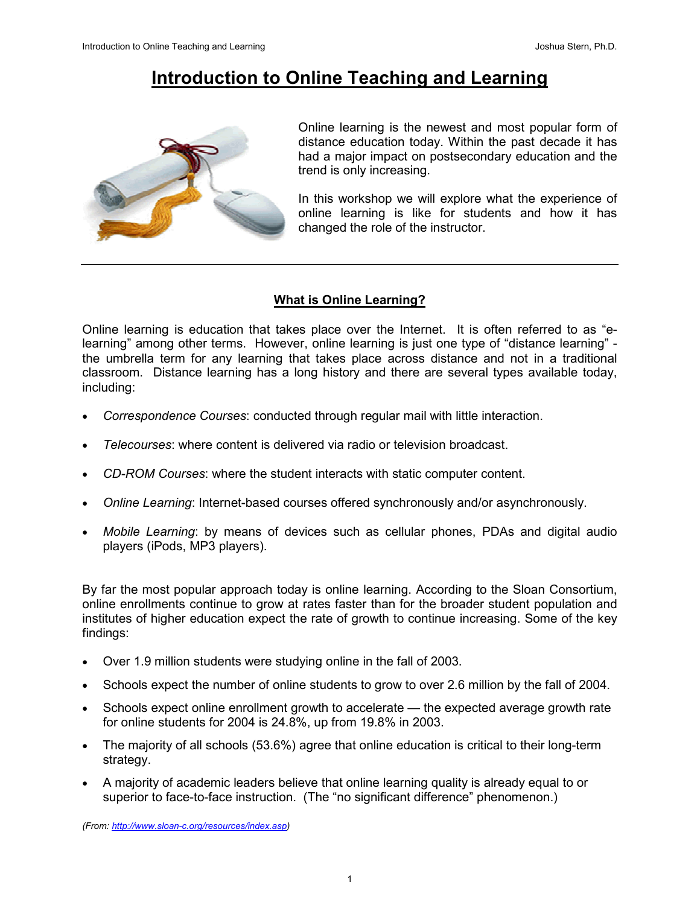# Introduction to Online Teaching and Learning



Online learning is the newest and most popular form of distance education today. Within the past decade it has had a major impact on postsecondary education and the trend is only increasing.

In this workshop we will explore what the experience of online learning is like for students and how it has changed the role of the instructor.

# What is Online Learning?

Online learning is education that takes place over the Internet. It is often referred to as "elearning" among other terms. However, online learning is just one type of "distance learning" the umbrella term for any learning that takes place across distance and not in a traditional classroom. Distance learning has a long history and there are several types available today, including:

- Correspondence Courses: conducted through regular mail with little interaction.
- Telecourses: where content is delivered via radio or television broadcast.
- CD-ROM Courses: where the student interacts with static computer content.
- Online Learning: Internet-based courses offered synchronously and/or asynchronously.
- *Mobile Learning*: by means of devices such as cellular phones, PDAs and digital audio players (iPods, MP3 players).

By far the most popular approach today is online learning. According to the Sloan Consortium, online enrollments continue to grow at rates faster than for the broader student population and institutes of higher education expect the rate of growth to continue increasing. Some of the key findings:

- Over 1.9 million students were studying online in the fall of 2003.
- Schools expect the number of online students to grow to over 2.6 million by the fall of 2004.
- Schools expect online enrollment growth to accelerate the expected average growth rate for online students for 2004 is 24.8%, up from 19.8% in 2003.
- The majority of all schools (53.6%) agree that online education is critical to their long-term strategy.
- A majority of academic leaders believe that online learning quality is already equal to or superior to face-to-face instruction. (The "no significant difference" phenomenon.)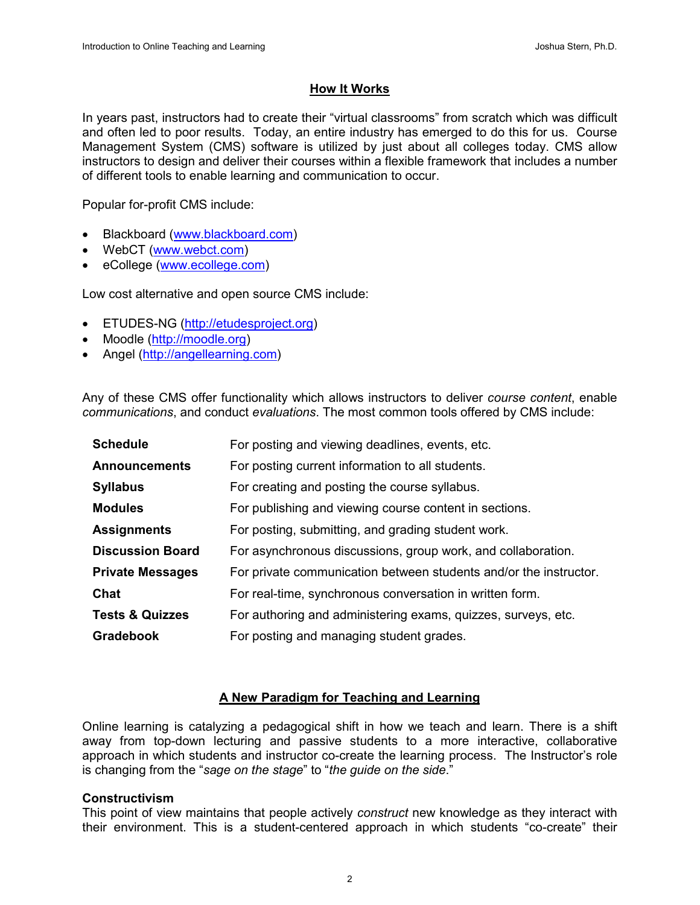# How It Works

In years past, instructors had to create their "virtual classrooms" from scratch which was difficult and often led to poor results. Today, an entire industry has emerged to do this for us. Course Management System (CMS) software is utilized by just about all colleges today. CMS allow instructors to design and deliver their courses within a flexible framework that includes a number of different tools to enable learning and communication to occur.

Popular for-profit CMS include:

- Blackboard (www.blackboard.com)
- WebCT (www.webct.com)
- eCollege (www.ecollege.com)

Low cost alternative and open source CMS include:

- ETUDES-NG (http://etudesproject.org)
- Moodle (http://moodle.org)
- Angel (http://angellearning.com)

Any of these CMS offer functionality which allows instructors to deliver *course content*, enable communications, and conduct evaluations. The most common tools offered by CMS include:

| <b>Schedule</b>            | For posting and viewing deadlines, events, etc.                   |
|----------------------------|-------------------------------------------------------------------|
| <b>Announcements</b>       | For posting current information to all students.                  |
| <b>Syllabus</b>            | For creating and posting the course syllabus.                     |
| <b>Modules</b>             | For publishing and viewing course content in sections.            |
| <b>Assignments</b>         | For posting, submitting, and grading student work.                |
| <b>Discussion Board</b>    | For asynchronous discussions, group work, and collaboration.      |
| <b>Private Messages</b>    | For private communication between students and/or the instructor. |
| Chat                       | For real-time, synchronous conversation in written form.          |
| <b>Tests &amp; Quizzes</b> | For authoring and administering exams, quizzes, surveys, etc.     |
| <b>Gradebook</b>           | For posting and managing student grades.                          |

## A New Paradigm for Teaching and Learning

Online learning is catalyzing a pedagogical shift in how we teach and learn. There is a shift away from top-down lecturing and passive students to a more interactive, collaborative approach in which students and instructor co-create the learning process. The Instructor's role is changing from the "sage on the stage" to "the guide on the side."

#### Constructivism

This point of view maintains that people actively construct new knowledge as they interact with their environment. This is a student-centered approach in which students "co-create" their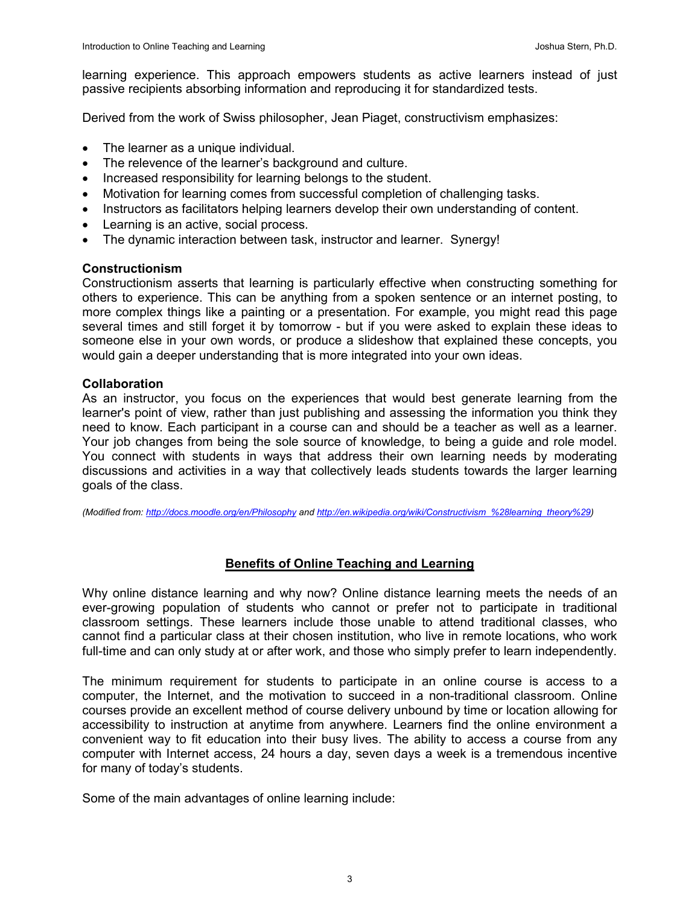learning experience. This approach empowers students as active learners instead of just passive recipients absorbing information and reproducing it for standardized tests.

Derived from the work of Swiss philosopher, Jean Piaget, constructivism emphasizes:

- The learner as a unique individual.
- The relevence of the learner's background and culture.
- Increased responsibility for learning belongs to the student.
- Motivation for learning comes from successful completion of challenging tasks.
- Instructors as facilitators helping learners develop their own understanding of content.
- Learning is an active, social process.
- The dynamic interaction between task, instructor and learner. Synergy!

#### Constructionism

Constructionism asserts that learning is particularly effective when constructing something for others to experience. This can be anything from a spoken sentence or an internet posting, to more complex things like a painting or a presentation. For example, you might read this page several times and still forget it by tomorrow - but if you were asked to explain these ideas to someone else in your own words, or produce a slideshow that explained these concepts, you would gain a deeper understanding that is more integrated into your own ideas.

## **Collaboration**

As an instructor, you focus on the experiences that would best generate learning from the learner's point of view, rather than just publishing and assessing the information you think they need to know. Each participant in a course can and should be a teacher as well as a learner. Your job changes from being the sole source of knowledge, to being a guide and role model. You connect with students in ways that address their own learning needs by moderating discussions and activities in a way that collectively leads students towards the larger learning goals of the class.

(Modified from: http://docs.moodle.org/en/Philosophy and http://en.wikipedia.org/wiki/Constructivism\_%28learning\_theory%29)

# Benefits of Online Teaching and Learning

Why online distance learning and why now? Online distance learning meets the needs of an ever-growing population of students who cannot or prefer not to participate in traditional classroom settings. These learners include those unable to attend traditional classes, who cannot find a particular class at their chosen institution, who live in remote locations, who work full-time and can only study at or after work, and those who simply prefer to learn independently.

The minimum requirement for students to participate in an online course is access to a computer, the Internet, and the motivation to succeed in a non-traditional classroom. Online courses provide an excellent method of course delivery unbound by time or location allowing for accessibility to instruction at anytime from anywhere. Learners find the online environment a convenient way to fit education into their busy lives. The ability to access a course from any computer with Internet access, 24 hours a day, seven days a week is a tremendous incentive for many of today's students.

Some of the main advantages of online learning include: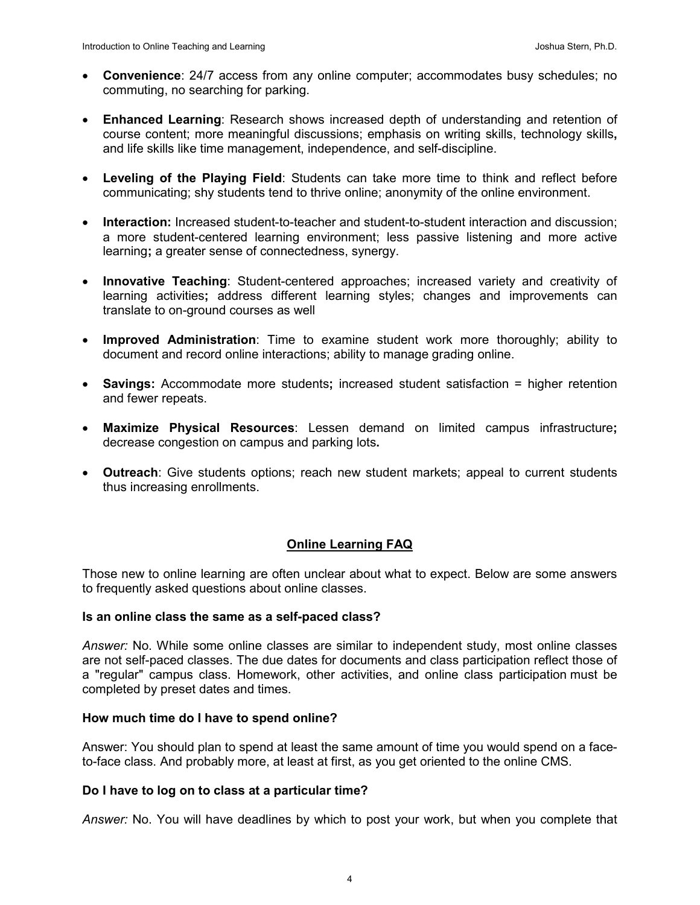- Convenience: 24/7 access from any online computer; accommodates busy schedules; no commuting, no searching for parking.
- Enhanced Learning: Research shows increased depth of understanding and retention of course content; more meaningful discussions; emphasis on writing skills, technology skills, and life skills like time management, independence, and self-discipline.
- Leveling of the Playing Field: Students can take more time to think and reflect before communicating; shy students tend to thrive online; anonymity of the online environment.
- Interaction: Increased student-to-teacher and student-to-student interaction and discussion; a more student-centered learning environment; less passive listening and more active learning; a greater sense of connectedness, synergy.
- Innovative Teaching: Student-centered approaches; increased variety and creativity of learning activities; address different learning styles; changes and improvements can translate to on-ground courses as well
- Improved Administration: Time to examine student work more thoroughly; ability to document and record online interactions; ability to manage grading online.
- Savings: Accommodate more students; increased student satisfaction = higher retention and fewer repeats.
- Maximize Physical Resources: Lessen demand on limited campus infrastructure; decrease congestion on campus and parking lots.
- Outreach: Give students options; reach new student markets; appeal to current students thus increasing enrollments.

# Online Learning FAQ

Those new to online learning are often unclear about what to expect. Below are some answers to frequently asked questions about online classes.

## Is an online class the same as a self-paced class?

Answer: No. While some online classes are similar to independent study, most online classes are not self-paced classes. The due dates for documents and class participation reflect those of a "regular" campus class. Homework, other activities, and online class participation must be completed by preset dates and times.

#### How much time do I have to spend online?

Answer: You should plan to spend at least the same amount of time you would spend on a faceto-face class. And probably more, at least at first, as you get oriented to the online CMS.

#### Do I have to log on to class at a particular time?

Answer: No. You will have deadlines by which to post your work, but when you complete that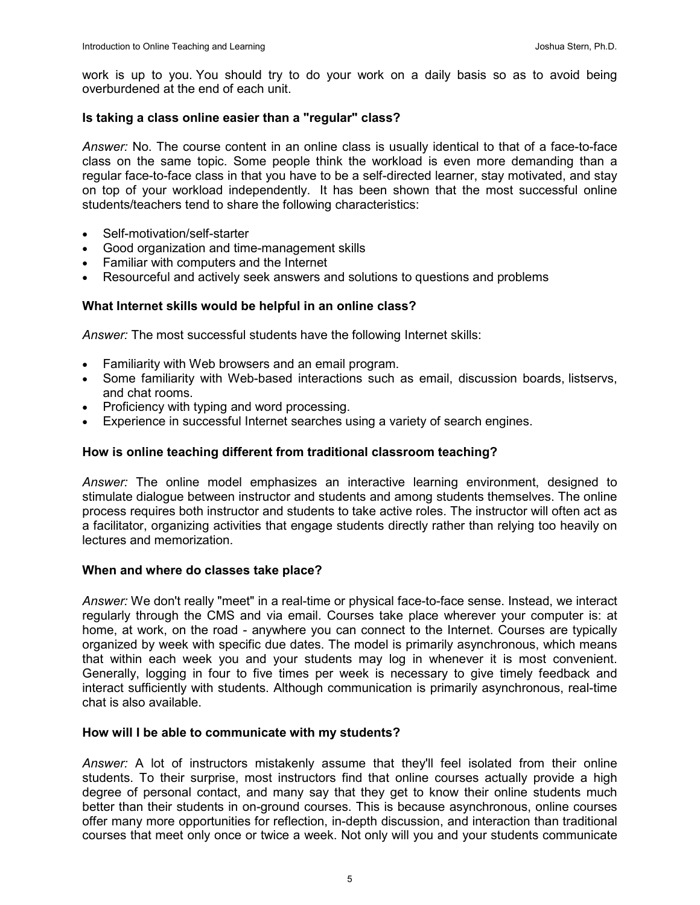work is up to you. You should try to do your work on a daily basis so as to avoid being overburdened at the end of each unit.

#### Is taking a class online easier than a "regular" class?

Answer: No. The course content in an online class is usually identical to that of a face-to-face class on the same topic. Some people think the workload is even more demanding than a regular face-to-face class in that you have to be a self-directed learner, stay motivated, and stay on top of your workload independently. It has been shown that the most successful online students/teachers tend to share the following characteristics:

- Self-motivation/self-starter
- Good organization and time-management skills
- Familiar with computers and the Internet
- Resourceful and actively seek answers and solutions to questions and problems

#### What Internet skills would be helpful in an online class?

Answer: The most successful students have the following Internet skills:

- Familiarity with Web browsers and an email program.
- Some familiarity with Web-based interactions such as email, discussion boards, listservs, and chat rooms.
- Proficiency with typing and word processing.
- Experience in successful Internet searches using a variety of search engines.

#### How is online teaching different from traditional classroom teaching?

Answer: The online model emphasizes an interactive learning environment, designed to stimulate dialogue between instructor and students and among students themselves. The online process requires both instructor and students to take active roles. The instructor will often act as a facilitator, organizing activities that engage students directly rather than relying too heavily on lectures and memorization.

#### When and where do classes take place?

Answer: We don't really "meet" in a real-time or physical face-to-face sense. Instead, we interact regularly through the CMS and via email. Courses take place wherever your computer is: at home, at work, on the road - anywhere you can connect to the Internet. Courses are typically organized by week with specific due dates. The model is primarily asynchronous, which means that within each week you and your students may log in whenever it is most convenient. Generally, logging in four to five times per week is necessary to give timely feedback and interact sufficiently with students. Although communication is primarily asynchronous, real-time chat is also available.

#### How will I be able to communicate with my students?

Answer: A lot of instructors mistakenly assume that they'll feel isolated from their online students. To their surprise, most instructors find that online courses actually provide a high degree of personal contact, and many say that they get to know their online students much better than their students in on-ground courses. This is because asynchronous, online courses offer many more opportunities for reflection, in-depth discussion, and interaction than traditional courses that meet only once or twice a week. Not only will you and your students communicate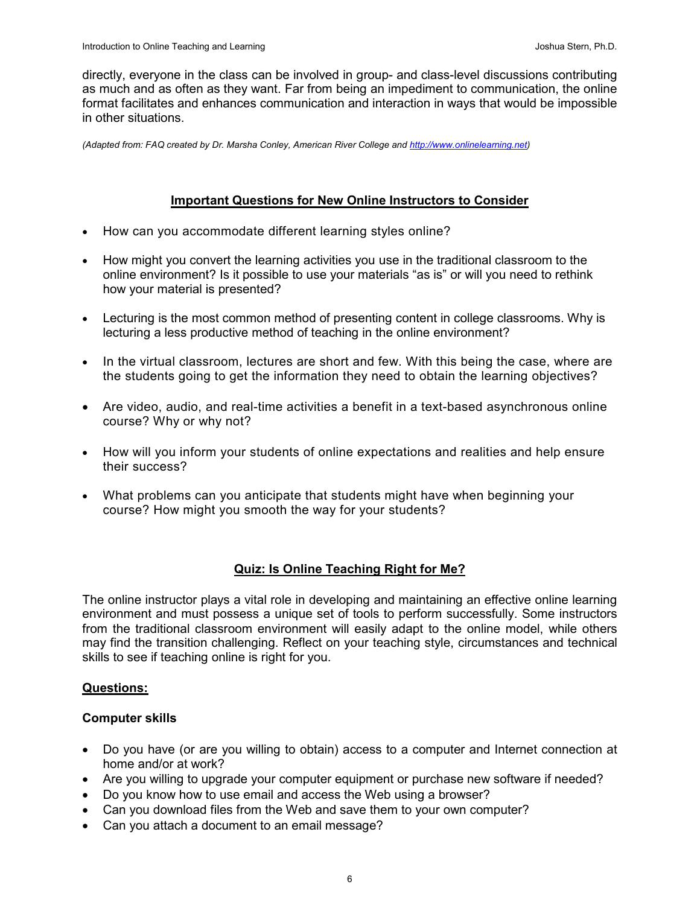directly, everyone in the class can be involved in group- and class-level discussions contributing as much and as often as they want. Far from being an impediment to communication, the online format facilitates and enhances communication and interaction in ways that would be impossible in other situations.

(Adapted from: FAQ created by Dr. Marsha Conley, American River College and http://www.onlinelearning.net)

# Important Questions for New Online Instructors to Consider

- How can you accommodate different learning styles online?
- How might you convert the learning activities you use in the traditional classroom to the online environment? Is it possible to use your materials "as is" or will you need to rethink how your material is presented?
- Lecturing is the most common method of presenting content in college classrooms. Why is lecturing a less productive method of teaching in the online environment?
- In the virtual classroom, lectures are short and few. With this being the case, where are the students going to get the information they need to obtain the learning objectives?
- Are video, audio, and real-time activities a benefit in a text-based asynchronous online course? Why or why not?
- How will you inform your students of online expectations and realities and help ensure their success?
- What problems can you anticipate that students might have when beginning your course? How might you smooth the way for your students?

# Quiz: Is Online Teaching Right for Me?

The online instructor plays a vital role in developing and maintaining an effective online learning environment and must possess a unique set of tools to perform successfully. Some instructors from the traditional classroom environment will easily adapt to the online model, while others may find the transition challenging. Reflect on your teaching style, circumstances and technical skills to see if teaching online is right for you.

# Questions:

## Computer skills

- Do you have (or are you willing to obtain) access to a computer and Internet connection at home and/or at work?
- Are you willing to upgrade your computer equipment or purchase new software if needed?
- Do you know how to use email and access the Web using a browser?
- Can you download files from the Web and save them to your own computer?
- Can you attach a document to an email message?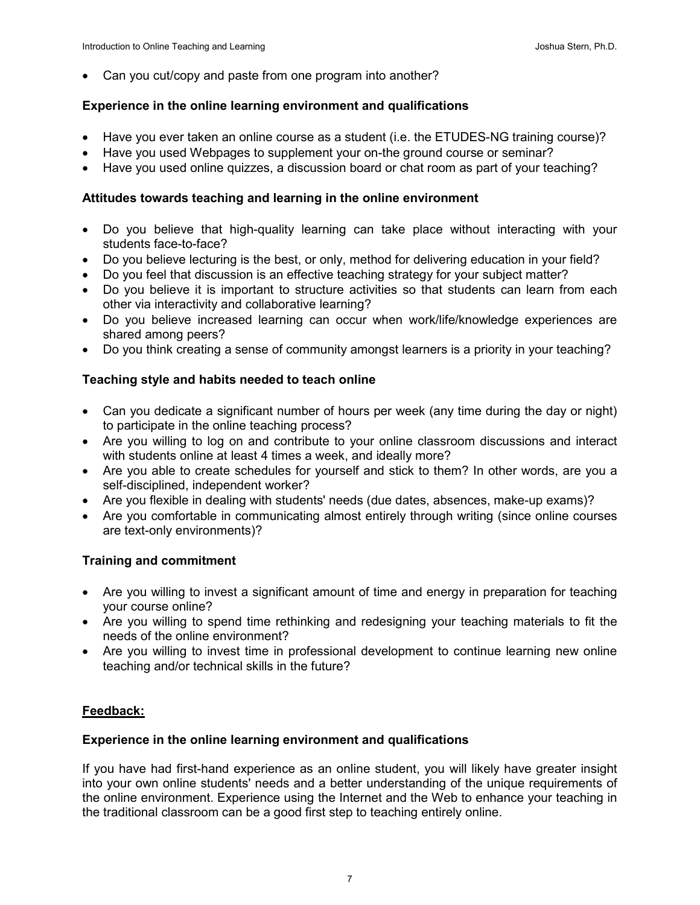• Can you cut/copy and paste from one program into another?

## Experience in the online learning environment and qualifications

- Have you ever taken an online course as a student (i.e. the ETUDES-NG training course)?
- Have you used Webpages to supplement your on-the ground course or seminar?
- Have you used online quizzes, a discussion board or chat room as part of your teaching?

## Attitudes towards teaching and learning in the online environment

- Do you believe that high-quality learning can take place without interacting with your students face-to-face?
- Do you believe lecturing is the best, or only, method for delivering education in your field?
- Do you feel that discussion is an effective teaching strategy for your subject matter?
- Do you believe it is important to structure activities so that students can learn from each other via interactivity and collaborative learning?
- Do you believe increased learning can occur when work/life/knowledge experiences are shared among peers?
- Do you think creating a sense of community amongst learners is a priority in your teaching?

# Teaching style and habits needed to teach online

- Can you dedicate a significant number of hours per week (any time during the day or night) to participate in the online teaching process?
- Are you willing to log on and contribute to your online classroom discussions and interact with students online at least 4 times a week, and ideally more?
- Are you able to create schedules for yourself and stick to them? In other words, are you a self-disciplined, independent worker?
- Are you flexible in dealing with students' needs (due dates, absences, make-up exams)?
- Are you comfortable in communicating almost entirely through writing (since online courses are text-only environments)?

## Training and commitment

- Are you willing to invest a significant amount of time and energy in preparation for teaching your course online?
- Are you willing to spend time rethinking and redesigning your teaching materials to fit the needs of the online environment?
- Are you willing to invest time in professional development to continue learning new online teaching and/or technical skills in the future?

# Feedback:

## Experience in the online learning environment and qualifications

If you have had first-hand experience as an online student, you will likely have greater insight into your own online students' needs and a better understanding of the unique requirements of the online environment. Experience using the Internet and the Web to enhance your teaching in the traditional classroom can be a good first step to teaching entirely online.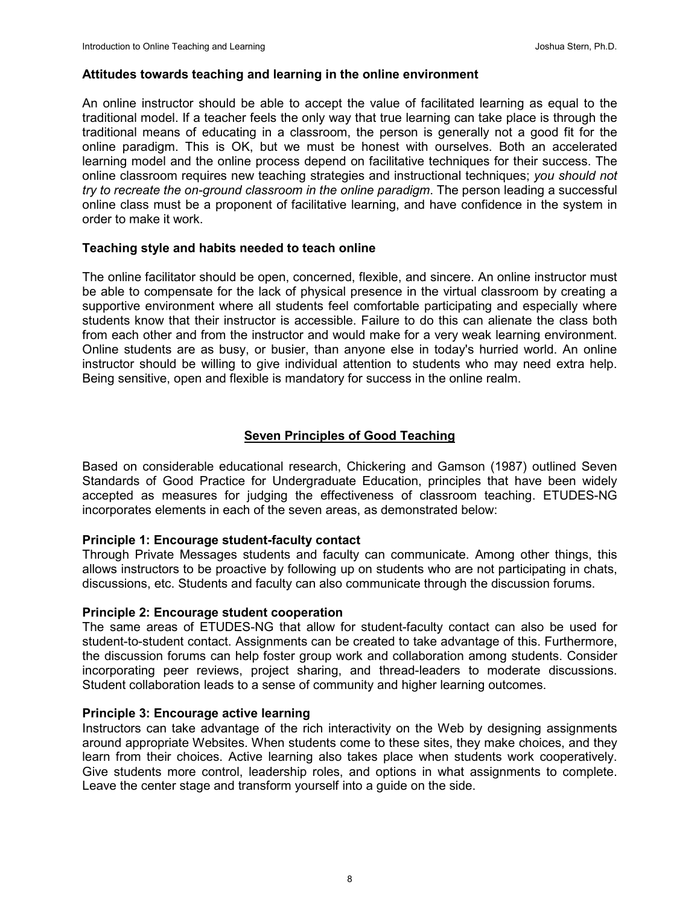#### Attitudes towards teaching and learning in the online environment

An online instructor should be able to accept the value of facilitated learning as equal to the traditional model. If a teacher feels the only way that true learning can take place is through the traditional means of educating in a classroom, the person is generally not a good fit for the online paradigm. This is OK, but we must be honest with ourselves. Both an accelerated learning model and the online process depend on facilitative techniques for their success. The online classroom requires new teaching strategies and instructional techniques; you should not try to recreate the on-ground classroom in the online paradigm. The person leading a successful online class must be a proponent of facilitative learning, and have confidence in the system in order to make it work.

## Teaching style and habits needed to teach online

The online facilitator should be open, concerned, flexible, and sincere. An online instructor must be able to compensate for the lack of physical presence in the virtual classroom by creating a supportive environment where all students feel comfortable participating and especially where students know that their instructor is accessible. Failure to do this can alienate the class both from each other and from the instructor and would make for a very weak learning environment. Online students are as busy, or busier, than anyone else in today's hurried world. An online instructor should be willing to give individual attention to students who may need extra help. Being sensitive, open and flexible is mandatory for success in the online realm.

# Seven Principles of Good Teaching

Based on considerable educational research, Chickering and Gamson (1987) outlined Seven Standards of Good Practice for Undergraduate Education, principles that have been widely accepted as measures for judging the effectiveness of classroom teaching. ETUDES-NG incorporates elements in each of the seven areas, as demonstrated below:

## Principle 1: Encourage student-faculty contact

Through Private Messages students and faculty can communicate. Among other things, this allows instructors to be proactive by following up on students who are not participating in chats, discussions, etc. Students and faculty can also communicate through the discussion forums.

#### Principle 2: Encourage student cooperation

The same areas of ETUDES-NG that allow for student-faculty contact can also be used for student-to-student contact. Assignments can be created to take advantage of this. Furthermore, the discussion forums can help foster group work and collaboration among students. Consider incorporating peer reviews, project sharing, and thread-leaders to moderate discussions. Student collaboration leads to a sense of community and higher learning outcomes.

#### Principle 3: Encourage active learning

Instructors can take advantage of the rich interactivity on the Web by designing assignments around appropriate Websites. When students come to these sites, they make choices, and they learn from their choices. Active learning also takes place when students work cooperatively. Give students more control, leadership roles, and options in what assignments to complete. Leave the center stage and transform yourself into a guide on the side.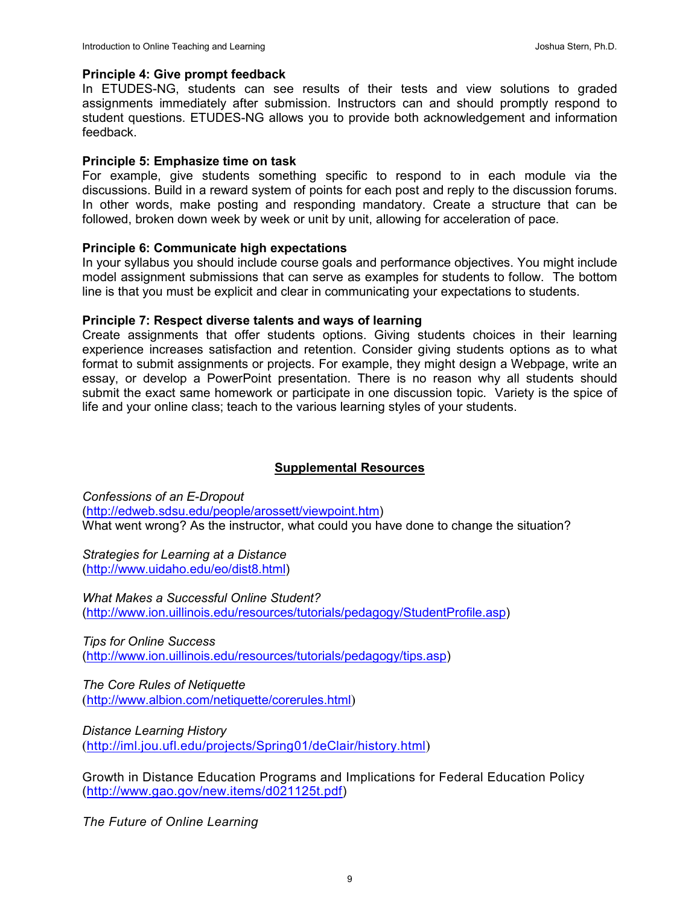#### Principle 4: Give prompt feedback

In ETUDES-NG, students can see results of their tests and view solutions to graded assignments immediately after submission. Instructors can and should promptly respond to student questions. ETUDES-NG allows you to provide both acknowledgement and information feedback.

#### Principle 5: Emphasize time on task

For example, give students something specific to respond to in each module via the discussions. Build in a reward system of points for each post and reply to the discussion forums. In other words, make posting and responding mandatory. Create a structure that can be followed, broken down week by week or unit by unit, allowing for acceleration of pace.

#### Principle 6: Communicate high expectations

In your syllabus you should include course goals and performance objectives. You might include model assignment submissions that can serve as examples for students to follow. The bottom line is that you must be explicit and clear in communicating your expectations to students.

#### Principle 7: Respect diverse talents and ways of learning

Create assignments that offer students options. Giving students choices in their learning experience increases satisfaction and retention. Consider giving students options as to what format to submit assignments or projects. For example, they might design a Webpage, write an essay, or develop a PowerPoint presentation. There is no reason why all students should submit the exact same homework or participate in one discussion topic. Variety is the spice of life and your online class; teach to the various learning styles of your students.

## Supplemental Resources

Confessions of an E-Dropout (http://edweb.sdsu.edu/people/arossett/viewpoint.htm) What went wrong? As the instructor, what could you have done to change the situation?

Strategies for Learning at a Distance (http://www.uidaho.edu/eo/dist8.html)

What Makes a Successful Online Student? (http://www.ion.uillinois.edu/resources/tutorials/pedagogy/StudentProfile.asp)

Tips for Online Success (http://www.ion.uillinois.edu/resources/tutorials/pedagogy/tips.asp)

The Core Rules of Netiquette (http://www.albion.com/netiquette/corerules.html)

Distance Learning History (http://iml.jou.ufl.edu/projects/Spring01/deClair/history.html)

Growth in Distance Education Programs and Implications for Federal Education Policy (http://www.gao.gov/new.items/d021125t.pdf)

The Future of Online Learning